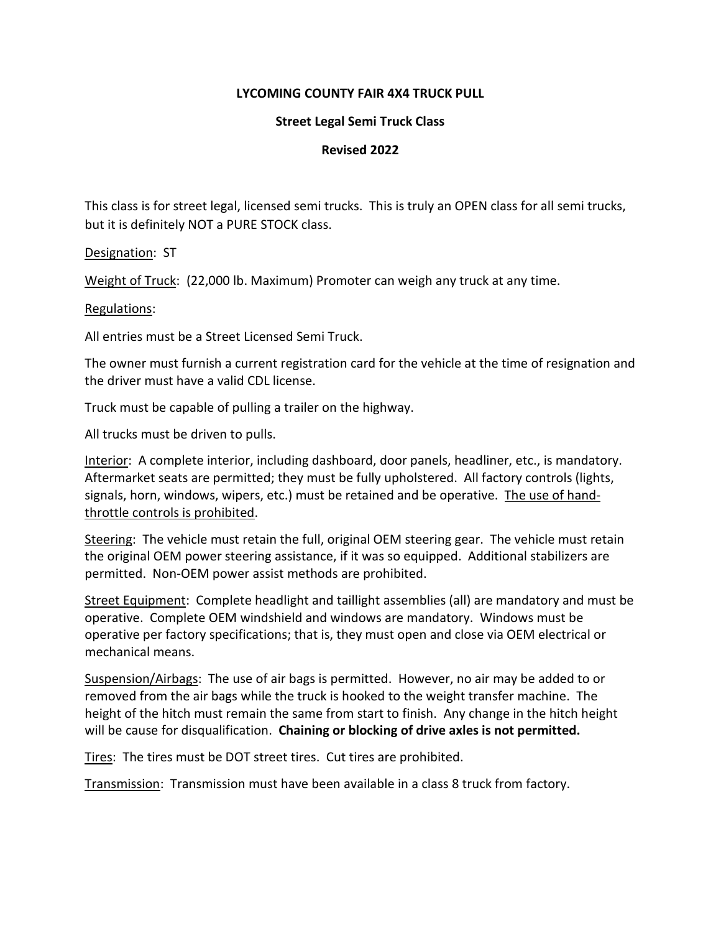# **LYCOMING COUNTY FAIR 4X4 TRUCK PULL**

## **Street Legal Semi Truck Class**

### **Revised 2022**

This class is for street legal, licensed semi trucks. This is truly an OPEN class for all semi trucks, but it is definitely NOT a PURE STOCK class.

## Designation: ST

Weight of Truck: (22,000 lb. Maximum) Promoter can weigh any truck at any time.

#### Regulations:

All entries must be a Street Licensed Semi Truck.

The owner must furnish a current registration card for the vehicle at the time of resignation and the driver must have a valid CDL license.

Truck must be capable of pulling a trailer on the highway.

All trucks must be driven to pulls.

Interior: A complete interior, including dashboard, door panels, headliner, etc., is mandatory. Aftermarket seats are permitted; they must be fully upholstered. All factory controls (lights, signals, horn, windows, wipers, etc.) must be retained and be operative. The use of handthrottle controls is prohibited.

Steering: The vehicle must retain the full, original OEM steering gear. The vehicle must retain the original OEM power steering assistance, if it was so equipped. Additional stabilizers are permitted. Non-OEM power assist methods are prohibited.

Street Equipment: Complete headlight and taillight assemblies (all) are mandatory and must be operative. Complete OEM windshield and windows are mandatory. Windows must be operative per factory specifications; that is, they must open and close via OEM electrical or mechanical means.

Suspension/Airbags: The use of air bags is permitted. However, no air may be added to or removed from the air bags while the truck is hooked to the weight transfer machine. The height of the hitch must remain the same from start to finish. Any change in the hitch height will be cause for disqualification. **Chaining or blocking of drive axles is not permitted.**

Tires: The tires must be DOT street tires. Cut tires are prohibited.

Transmission: Transmission must have been available in a class 8 truck from factory.